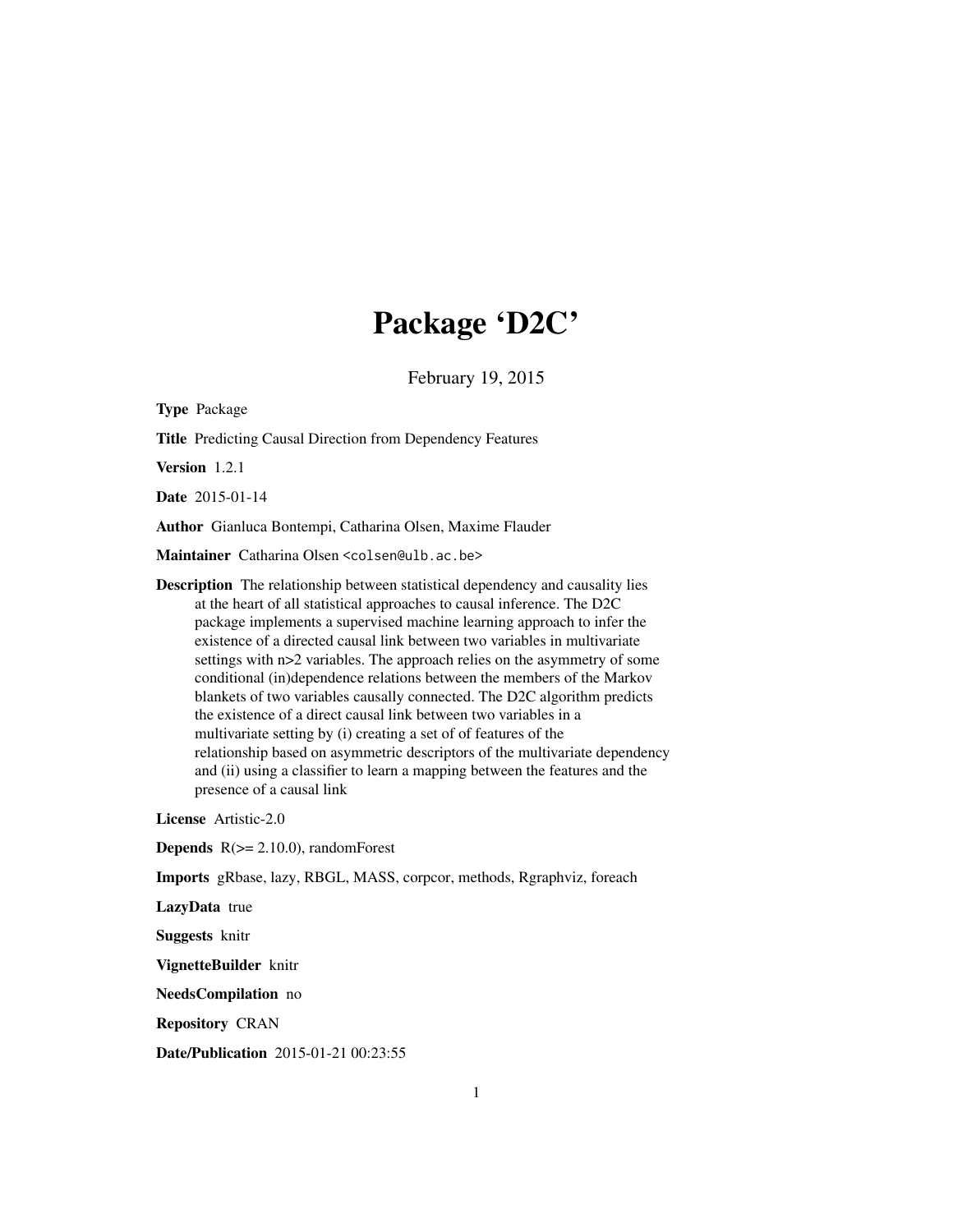# Package 'D2C'

February 19, 2015

<span id="page-0-0"></span>Type Package Title Predicting Causal Direction from Dependency Features Version 1.2.1 Date 2015-01-14 Author Gianluca Bontempi, Catharina Olsen, Maxime Flauder Maintainer Catharina Olsen <colsen@ulb.ac.be> Description The relationship between statistical dependency and causality lies at the heart of all statistical approaches to causal inference. The D2C package implements a supervised machine learning approach to infer the existence of a directed causal link between two variables in multivariate settings with n>2 variables. The approach relies on the asymmetry of some conditional (in)dependence relations between the members of the Markov blankets of two variables causally connected. The D2C algorithm predicts the existence of a direct causal link between two variables in a multivariate setting by (i) creating a set of of features of the relationship based on asymmetric descriptors of the multivariate dependency and (ii) using a classifier to learn a mapping between the features and the presence of a causal link License Artistic-2.0 **Depends**  $R$ ( $>= 2.10.0$ ), randomForest Imports gRbase, lazy, RBGL, MASS, corpcor, methods, Rgraphviz, foreach LazyData true Suggests knitr VignetteBuilder knitr

NeedsCompilation no

Repository CRAN

Date/Publication 2015-01-21 00:23:55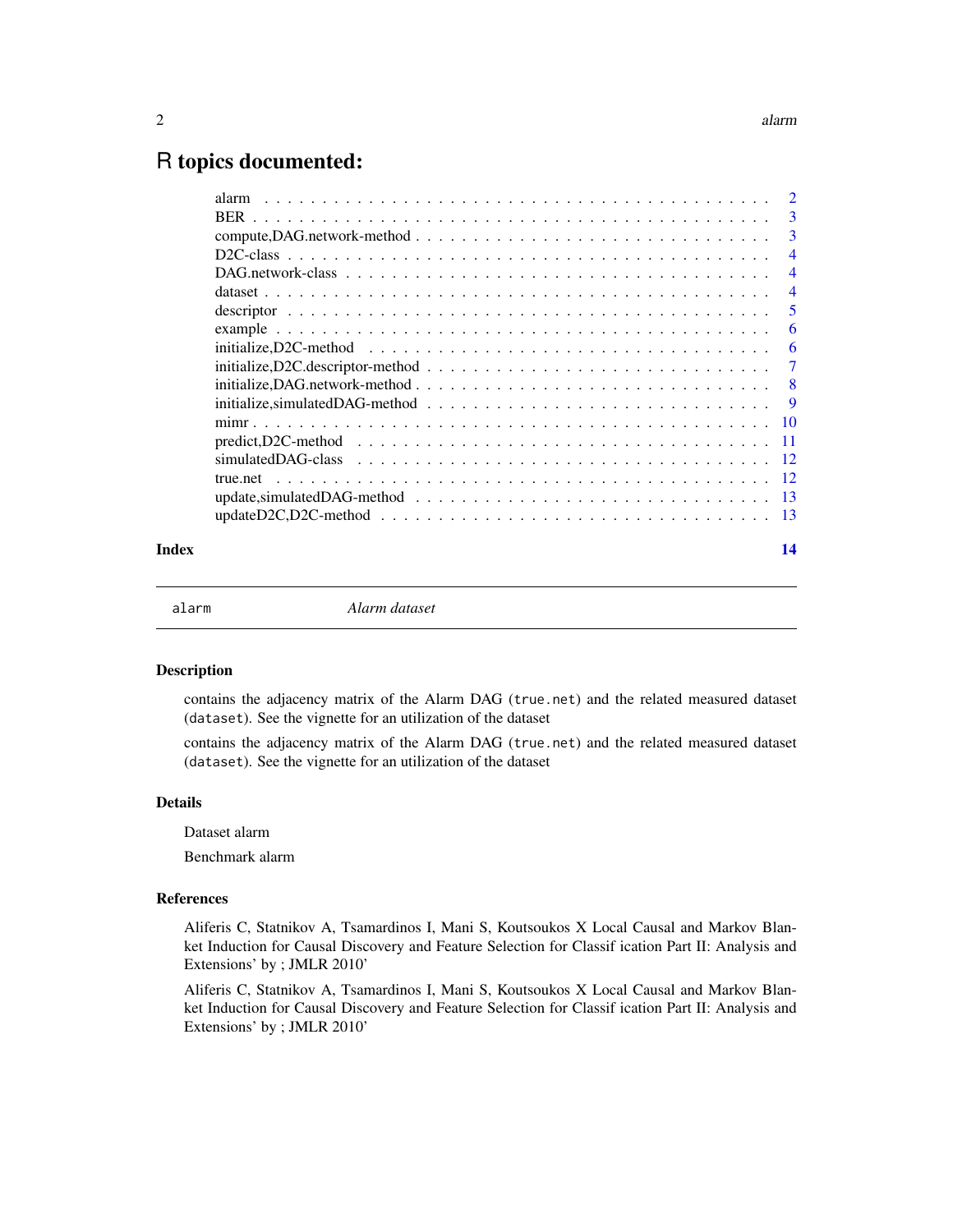# <span id="page-1-0"></span>R topics documented:

|       | alarm                                                                                                                   |                         |
|-------|-------------------------------------------------------------------------------------------------------------------------|-------------------------|
|       |                                                                                                                         | $\overline{\mathbf{3}}$ |
|       | $compute, DAG. network-method \dots \dots \dots \dots \dots \dots \dots \dots \dots \dots \dots \dots \dots$            | $\overline{3}$          |
|       |                                                                                                                         | $\overline{4}$          |
|       |                                                                                                                         | $\overline{4}$          |
|       |                                                                                                                         | $\overline{4}$          |
|       |                                                                                                                         | -5                      |
|       |                                                                                                                         | 6                       |
|       |                                                                                                                         | -6                      |
|       | initialize, D2C.descriptor-method $\ldots \ldots \ldots \ldots \ldots \ldots \ldots \ldots \ldots \ldots \ldots \ldots$ |                         |
|       |                                                                                                                         |                         |
|       | initialize, simulated DAG-method $\ldots \ldots \ldots \ldots \ldots \ldots \ldots \ldots \ldots \ldots \ldots$         |                         |
|       |                                                                                                                         |                         |
|       |                                                                                                                         |                         |
|       |                                                                                                                         |                         |
|       |                                                                                                                         |                         |
|       | update,simulatedDAG-method $\ldots \ldots \ldots \ldots \ldots \ldots \ldots \ldots \ldots \ldots \ldots \ldots$        |                         |
|       |                                                                                                                         |                         |
| Index |                                                                                                                         | 14                      |

alarm *Alarm dataset*

# Description

contains the adjacency matrix of the Alarm DAG (true.net) and the related measured dataset (dataset). See the vignette for an utilization of the dataset

contains the adjacency matrix of the Alarm DAG (true.net) and the related measured dataset (dataset). See the vignette for an utilization of the dataset

# Details

Dataset alarm

Benchmark alarm

# References

Aliferis C, Statnikov A, Tsamardinos I, Mani S, Koutsoukos X Local Causal and Markov Blanket Induction for Causal Discovery and Feature Selection for Classif ication Part II: Analysis and Extensions' by ; JMLR 2010'

Aliferis C, Statnikov A, Tsamardinos I, Mani S, Koutsoukos X Local Causal and Markov Blanket Induction for Causal Discovery and Feature Selection for Classif ication Part II: Analysis and Extensions' by ; JMLR 2010'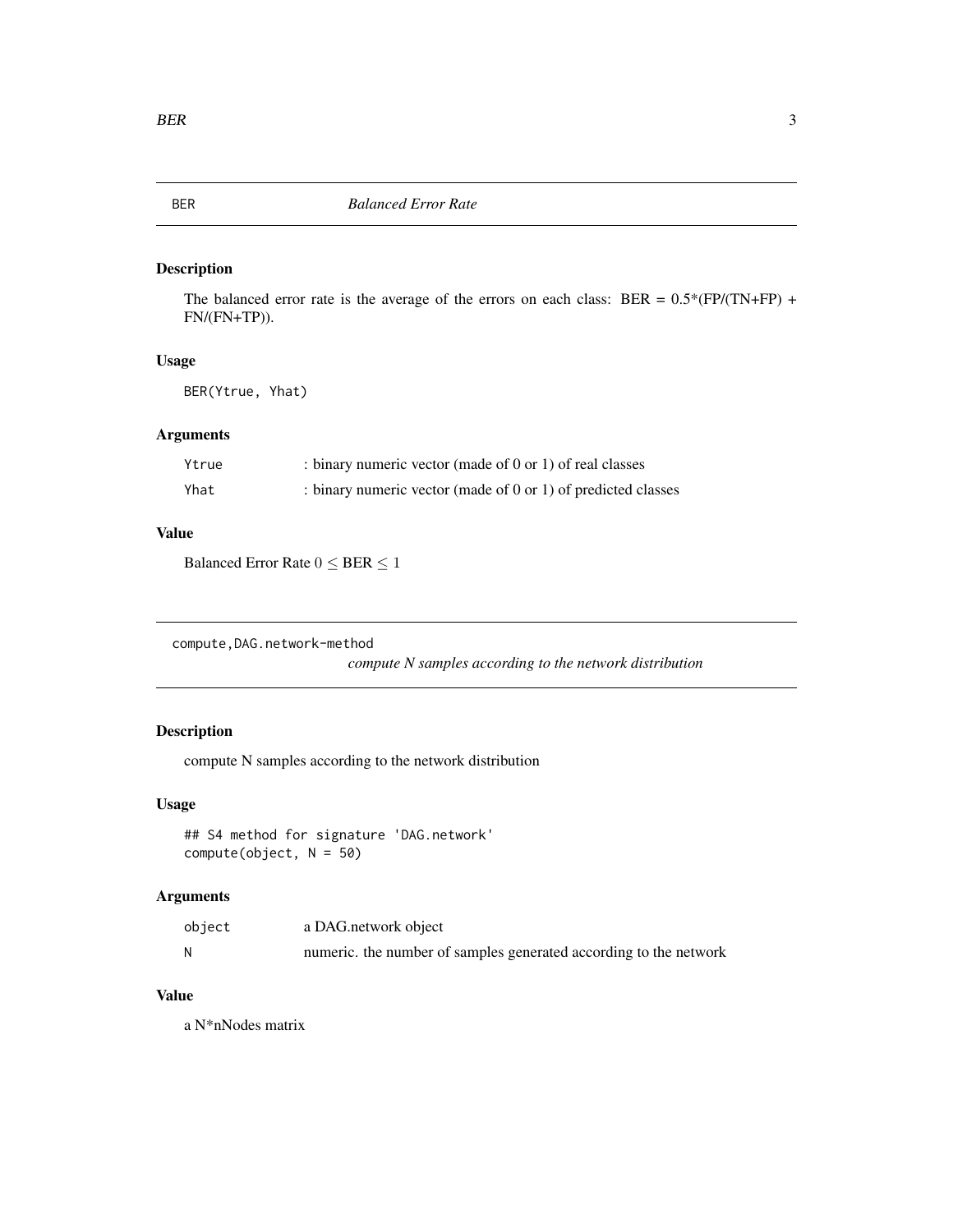<span id="page-2-0"></span>

# Description

The balanced error rate is the average of the errors on each class: BER =  $0.5*(FP/(TN+FP) +$ FN/(FN+TP)).

# Usage

BER(Ytrue, Yhat)

# Arguments

| Ytrue | : binary numeric vector (made of $0$ or $1$ ) of real classes |
|-------|---------------------------------------------------------------|
| Yhat  | : binary numeric vector (made of 0 or 1) of predicted classes |

# Value

Balanced Error Rate  $0 \leq BER \leq 1$ 

compute,DAG.network-method

*compute N samples according to the network distribution*

# Description

compute N samples according to the network distribution

# Usage

```
## S4 method for signature 'DAG.network'
compute(object, N = 50)
```
# Arguments

| object | a DAG.network object                                              |
|--------|-------------------------------------------------------------------|
|        | numeric, the number of samples generated according to the network |

# Value

a N\*nNodes matrix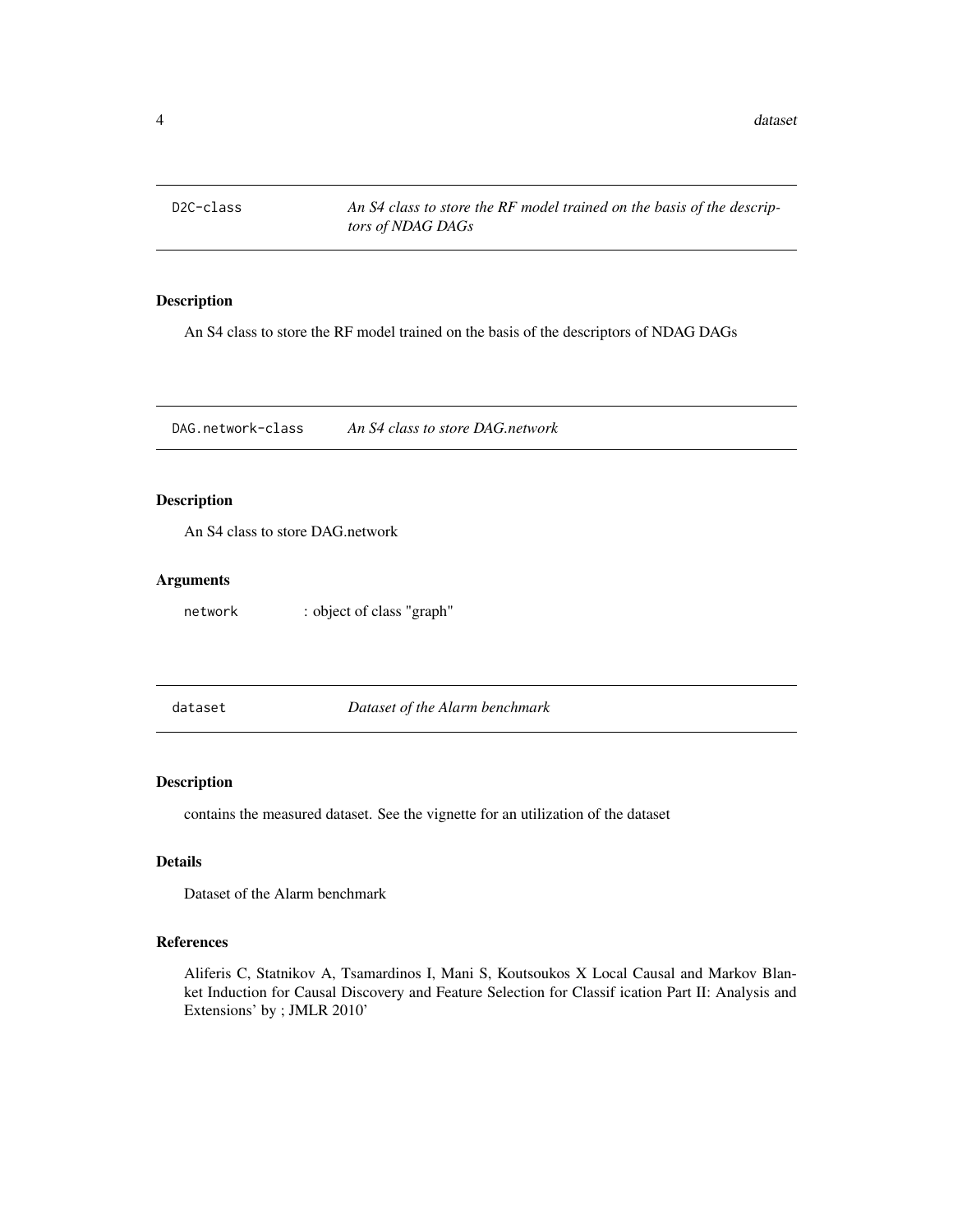<span id="page-3-0"></span>

# Description

An S4 class to store the RF model trained on the basis of the descriptors of NDAG DAGs

DAG.network-class *An S4 class to store DAG.network*

# Description

An S4 class to store DAG.network

# Arguments

network : object of class "graph"

dataset *Dataset of the Alarm benchmark*

# Description

contains the measured dataset. See the vignette for an utilization of the dataset

# Details

Dataset of the Alarm benchmark

# References

Aliferis C, Statnikov A, Tsamardinos I, Mani S, Koutsoukos X Local Causal and Markov Blanket Induction for Causal Discovery and Feature Selection for Classif ication Part II: Analysis and Extensions' by ; JMLR 2010'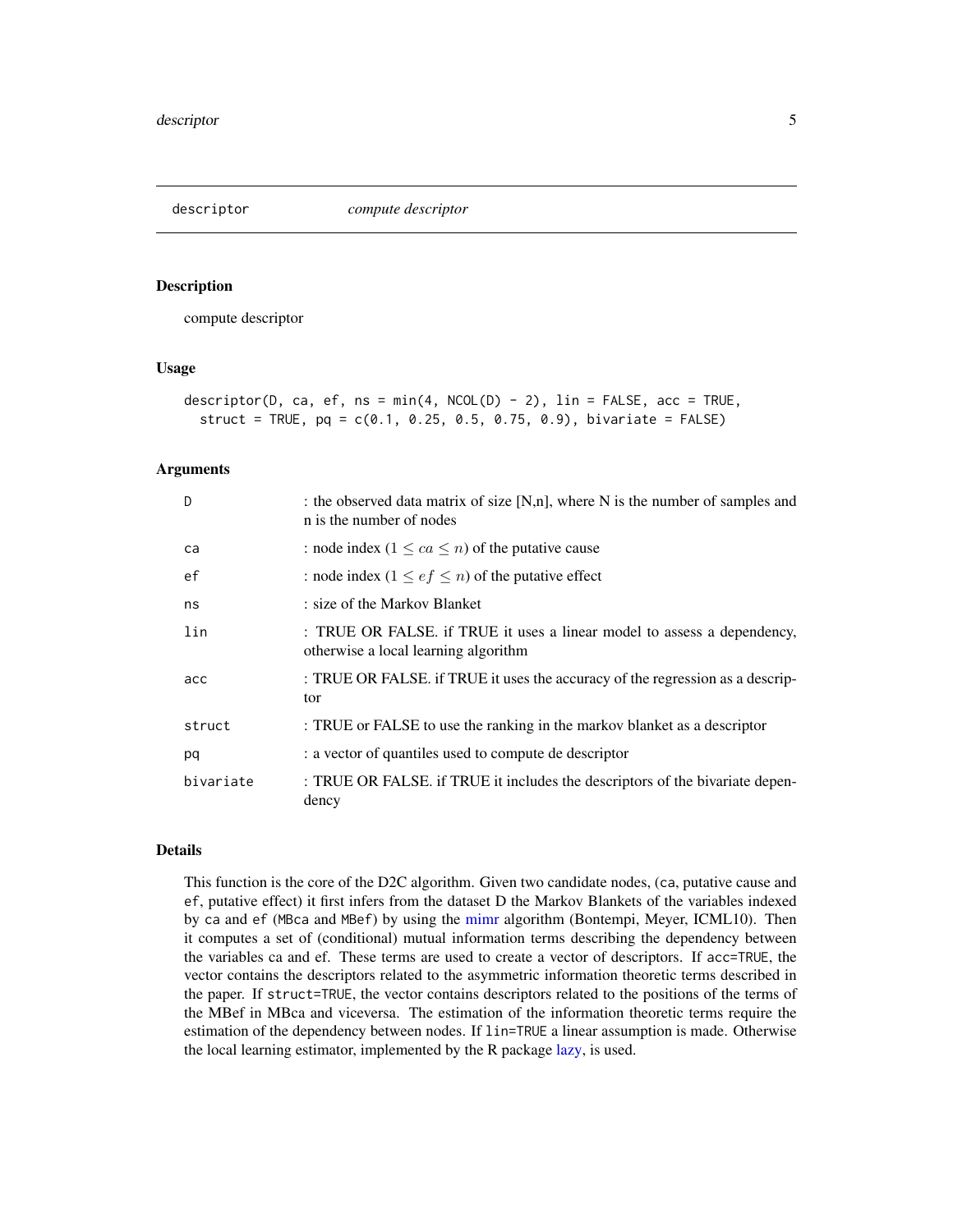<span id="page-4-0"></span>descriptor *compute descriptor*

# Description

compute descriptor

# Usage

descriptor(D, ca, ef, ns = min(4, NCOL(D) - 2), lin = FALSE, acc = TRUE, struct = TRUE,  $pq = c(0.1, 0.25, 0.5, 0.75, 0.9)$ , bivariate = FALSE)

# Arguments

| D         | : the observed data matrix of size $[N,n]$ , where N is the number of samples and<br>n is the number of nodes   |
|-----------|-----------------------------------------------------------------------------------------------------------------|
| ca        | : node index $(1 \le ca \le n)$ of the putative cause                                                           |
| ef        | : node index $(1 \leq ef \leq n)$ of the putative effect                                                        |
| ns        | : size of the Markov Blanket                                                                                    |
| lin       | : TRUE OR FALSE. if TRUE it uses a linear model to assess a dependency,<br>otherwise a local learning algorithm |
| acc       | : TRUE OR FALSE. if TRUE it uses the accuracy of the regression as a descrip-<br>tor                            |
| struct    | : TRUE or FALSE to use the ranking in the markov blanket as a descriptor                                        |
| pq        | : a vector of quantiles used to compute de descriptor                                                           |
| bivariate | : TRUE OR FALSE. if TRUE it includes the descriptors of the bivariate depen-<br>dency                           |

## Details

This function is the core of the D2C algorithm. Given two candidate nodes, (ca, putative cause and ef, putative effect) it first infers from the dataset D the Markov Blankets of the variables indexed by ca and ef (MBca and MBef) by using the [mimr](#page-9-1) algorithm (Bontempi, Meyer, ICML10). Then it computes a set of (conditional) mutual information terms describing the dependency between the variables ca and ef. These terms are used to create a vector of descriptors. If acc=TRUE, the vector contains the descriptors related to the asymmetric information theoretic terms described in the paper. If struct=TRUE, the vector contains descriptors related to the positions of the terms of the MBef in MBca and viceversa. The estimation of the information theoretic terms require the estimation of the dependency between nodes. If lin=TRUE a linear assumption is made. Otherwise the local learning estimator, implemented by the R package [lazy,](#page-0-0) is used.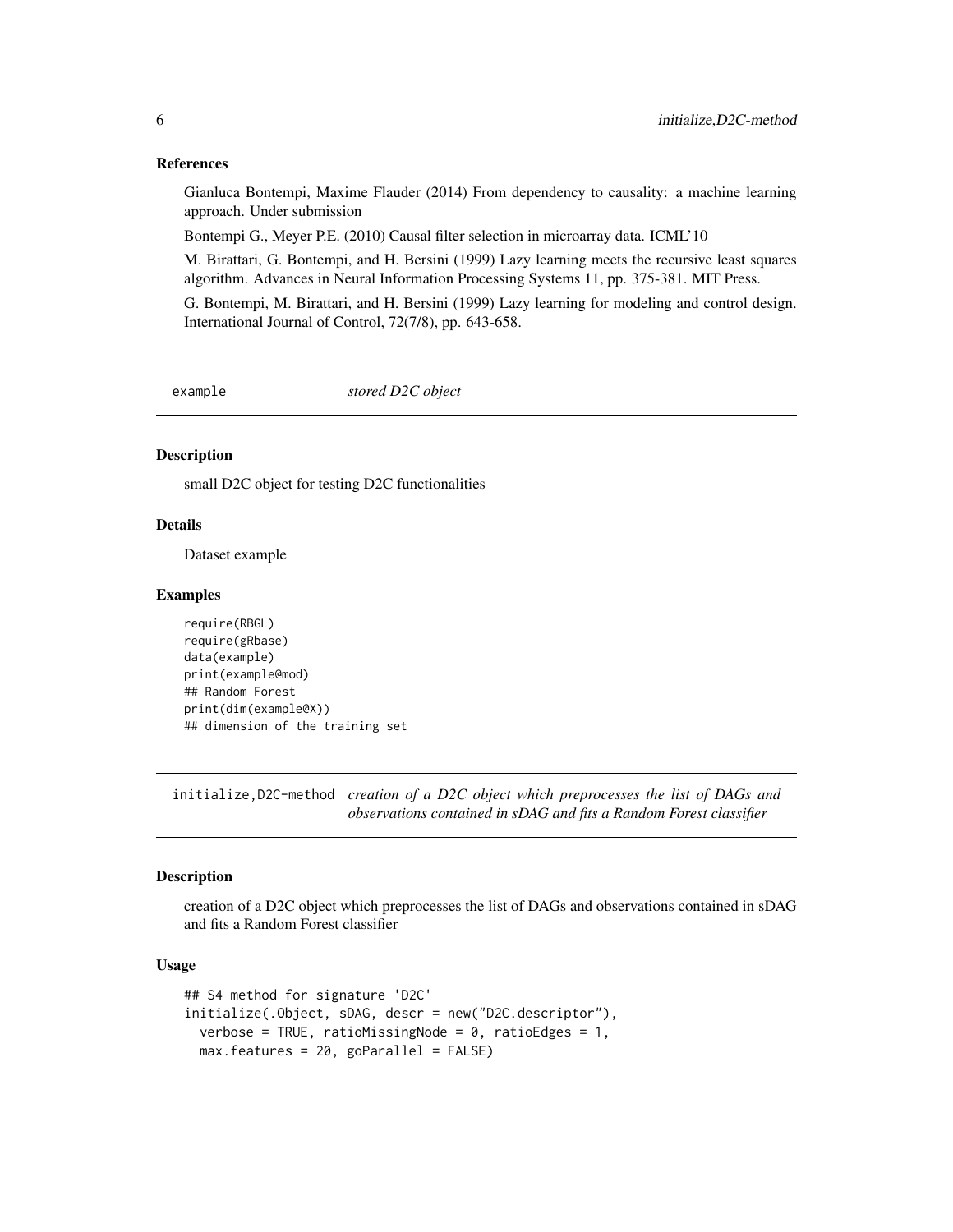Gianluca Bontempi, Maxime Flauder (2014) From dependency to causality: a machine learning approach. Under submission

Bontempi G., Meyer P.E. (2010) Causal filter selection in microarray data. ICML'10

M. Birattari, G. Bontempi, and H. Bersini (1999) Lazy learning meets the recursive least squares algorithm. Advances in Neural Information Processing Systems 11, pp. 375-381. MIT Press.

G. Bontempi, M. Birattari, and H. Bersini (1999) Lazy learning for modeling and control design. International Journal of Control, 72(7/8), pp. 643-658.

example *stored D2C object*

# Description

small D2C object for testing D2C functionalities

# Details

Dataset example

# Examples

```
require(RBGL)
require(gRbase)
data(example)
print(example@mod)
## Random Forest
print(dim(example@X))
## dimension of the training set
```
initialize,D2C-method *creation of a D2C object which preprocesses the list of DAGs and observations contained in sDAG and fits a Random Forest classifier*

# Description

creation of a D2C object which preprocesses the list of DAGs and observations contained in sDAG and fits a Random Forest classifier

# Usage

```
## S4 method for signature 'D2C'
initialize(.Object, sDAG, descr = new("D2C.descriptor"),
 verbose = TRUE, ratioMissingNode = 0, ratioEdges = 1,
 max.features = 20, goParallel = FALSE)
```
<span id="page-5-0"></span>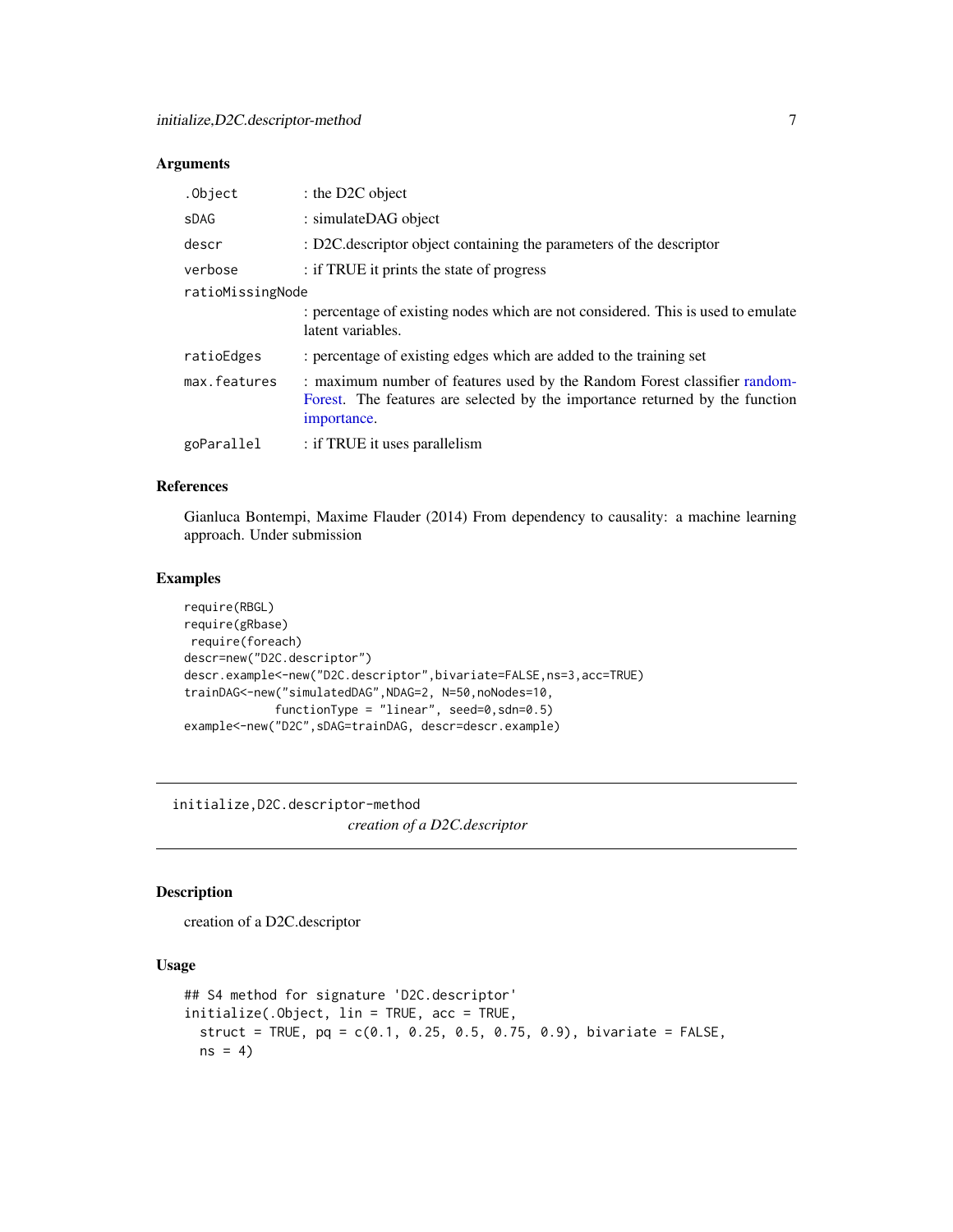# <span id="page-6-0"></span>Arguments

| .Object          | : the D2C object                                                                                                                                                         |
|------------------|--------------------------------------------------------------------------------------------------------------------------------------------------------------------------|
| sDAG             | : simulateDAG object                                                                                                                                                     |
| descr            | : D2C descriptor object containing the parameters of the descriptor                                                                                                      |
| verbose          | : if TRUE it prints the state of progress                                                                                                                                |
| ratioMissingNode |                                                                                                                                                                          |
|                  | : percentage of existing nodes which are not considered. This is used to emulate<br>latent variables.                                                                    |
| ratioEdges       | : percentage of existing edges which are added to the training set                                                                                                       |
| max.features     | : maximum number of features used by the Random Forest classifier random-<br>Forest. The features are selected by the importance returned by the function<br>importance. |
| goParallel       | : if TRUE it uses parallelism                                                                                                                                            |

# References

Gianluca Bontempi, Maxime Flauder (2014) From dependency to causality: a machine learning approach. Under submission

# Examples

```
require(RBGL)
require(gRbase)
require(foreach)
descr=new("D2C.descriptor")
descr.example<-new("D2C.descriptor",bivariate=FALSE,ns=3,acc=TRUE)
trainDAG<-new("simulatedDAG",NDAG=2, N=50,noNodes=10,
            functionType = "linear", seed=0,sdn=0.5)
example<-new("D2C",sDAG=trainDAG, descr=descr.example)
```
initialize,D2C.descriptor-method *creation of a D2C.descriptor*

# Description

creation of a D2C.descriptor

# Usage

```
## S4 method for signature 'D2C.descriptor'
initialize(.Object, lin = TRUE, acc = TRUE,
  struct = TRUE, pq = c(0.1, 0.25, 0.5, 0.75, 0.9), bivariate = FALSE,
 ns = 4
```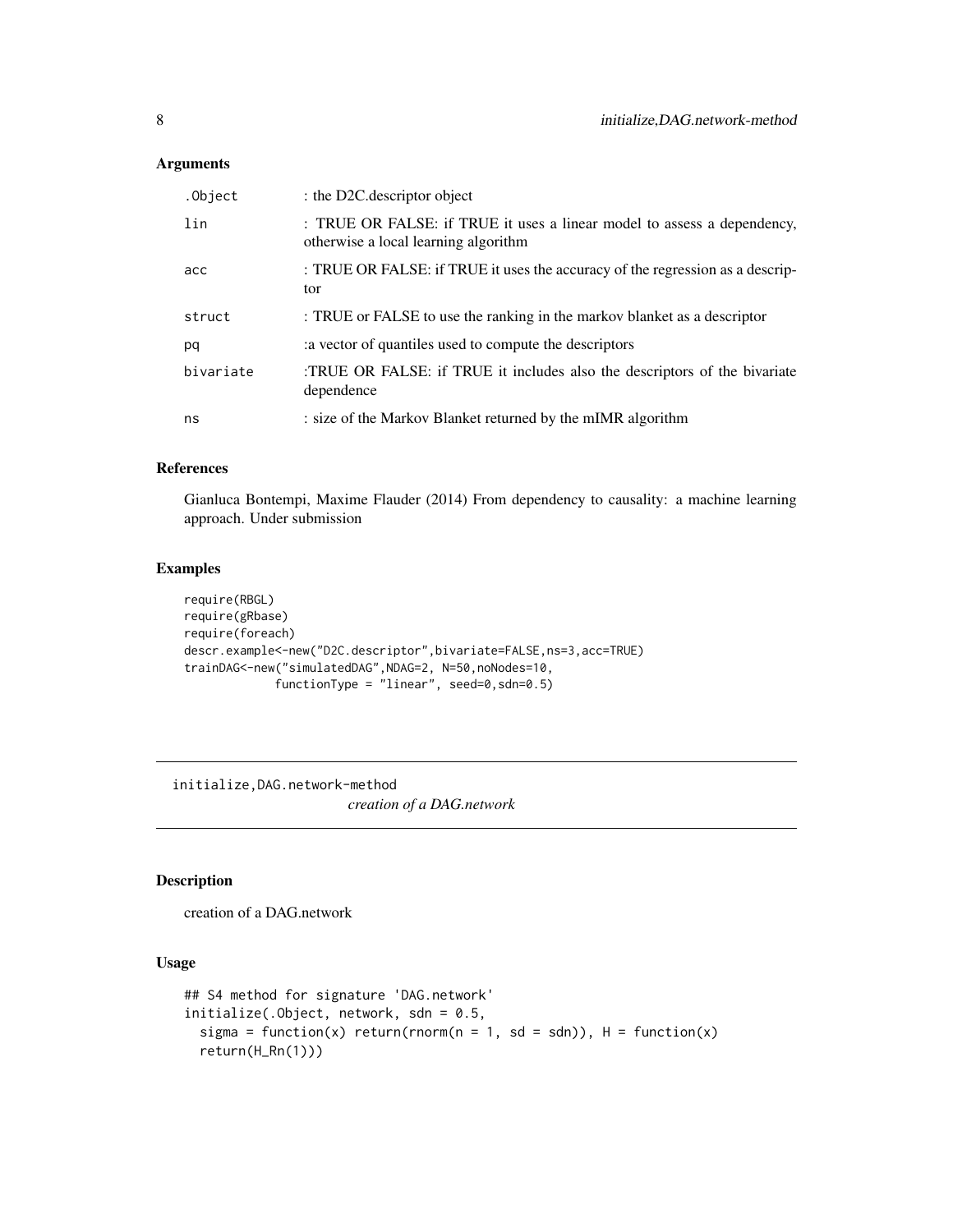# <span id="page-7-0"></span>Arguments

| .Object   | : the D2C descriptor object                                                                                     |
|-----------|-----------------------------------------------------------------------------------------------------------------|
| lin       | : TRUE OR FALSE: if TRUE it uses a linear model to assess a dependency,<br>otherwise a local learning algorithm |
| acc       | : TRUE OR FALSE: if TRUE it uses the accuracy of the regression as a descrip-<br>tor                            |
| struct    | : TRUE or FALSE to use the ranking in the markov blanket as a descriptor                                        |
| pq        | a vector of quantiles used to compute the descriptors:                                                          |
| bivariate | :TRUE OR FALSE: if TRUE it includes also the descriptors of the bivariate<br>dependence                         |
| ns        | : size of the Markov Blanket returned by the mIMR algorithm                                                     |

# References

Gianluca Bontempi, Maxime Flauder (2014) From dependency to causality: a machine learning approach. Under submission

# Examples

```
require(RBGL)
require(gRbase)
require(foreach)
descr.example<-new("D2C.descriptor",bivariate=FALSE,ns=3,acc=TRUE)
trainDAG<-new("simulatedDAG",NDAG=2, N=50,noNodes=10,
             functionType = "linear", seed=0,sdn=0.5)
```
initialize,DAG.network-method

*creation of a DAG.network*

# Description

creation of a DAG.network

# Usage

```
## S4 method for signature 'DAG.network'
initialize(.Object, network, sdn = 0.5,
  sigma = function(x) return(rnorm(n = 1, sd = sdn)), H = function(x)return(H_Rn(1)))
```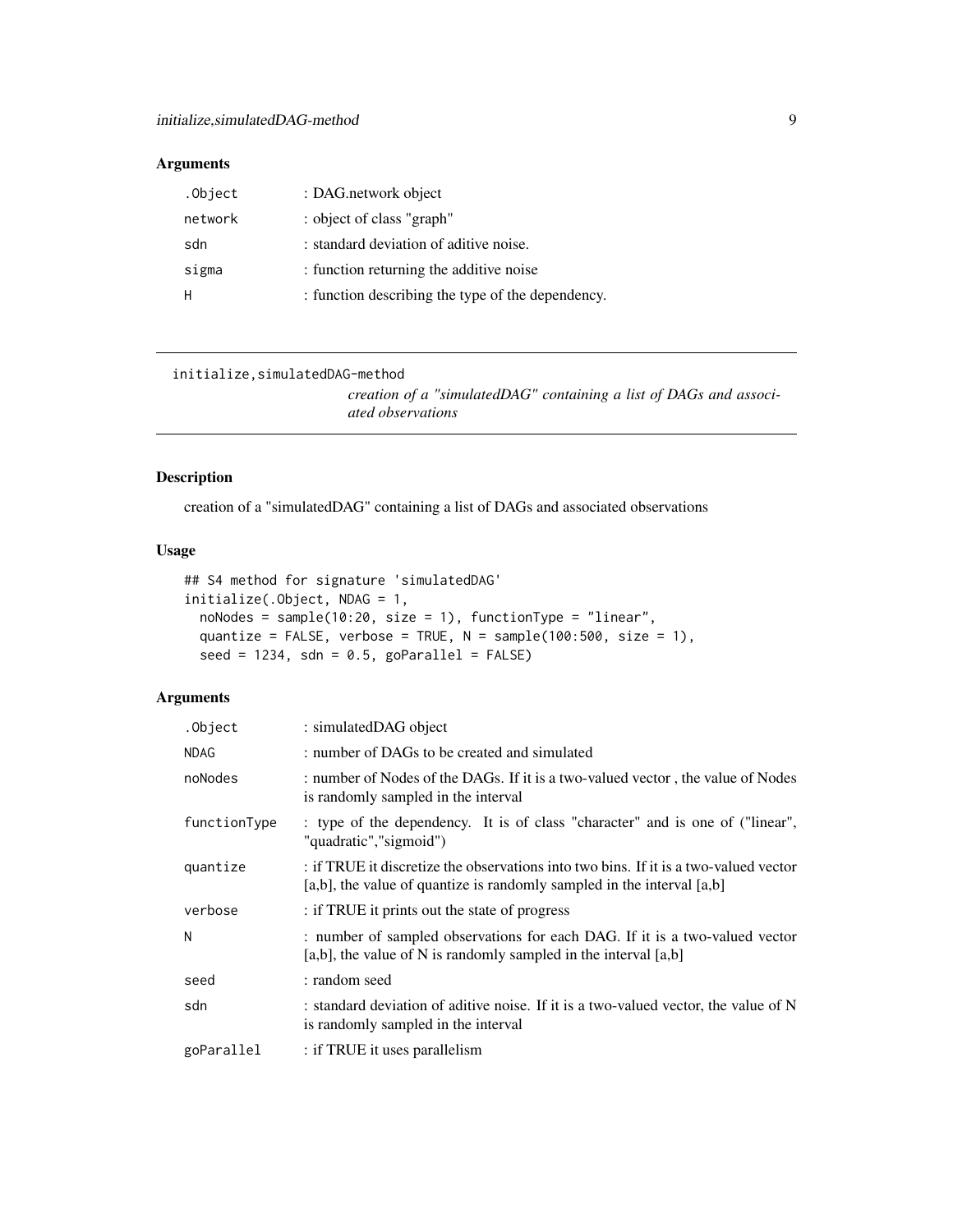# <span id="page-8-0"></span>Arguments

| .Object | : DAG.network object                              |
|---------|---------------------------------------------------|
| network | : object of class "graph"                         |
| sdn     | : standard deviation of aditive noise.            |
| sigma   | : function returning the additive noise           |
| н       | : function describing the type of the dependency. |

```
initialize,simulatedDAG-method
```
*creation of a "simulatedDAG" containing a list of DAGs and associated observations*

# Description

creation of a "simulatedDAG" containing a list of DAGs and associated observations

# Usage

```
## S4 method for signature 'simulatedDAG'
initialize(.Object, NDAG = 1,
 noNodes = sample(10:20, size = 1), functionType = "linear",
 quantize = FALSE, verbose = TRUE, N = sample(100:500, size = 1),
  seed = 1234, sdn = 0.5, goParallel = FALSE)
```
# Arguments

| .Object      | : simulatedDAG object                                                                                                                                                          |
|--------------|--------------------------------------------------------------------------------------------------------------------------------------------------------------------------------|
| NDAG         | : number of DAGs to be created and simulated                                                                                                                                   |
| noNodes      | : number of Nodes of the DAGs. If it is a two-valued vector, the value of Nodes<br>is randomly sampled in the interval                                                         |
| functionType | : type of the dependency. It is of class "character" and is one of ("linear",<br>"quadratic","sigmoid")                                                                        |
| quantize     | $\therefore$ if TRUE it discretize the observations into two bins. If it is a two-valued vector<br>$[a,b]$ , the value of quantize is randomly sampled in the interval $[a,b]$ |
| verbose      | : if TRUE it prints out the state of progress                                                                                                                                  |
| N            | : number of sampled observations for each DAG. If it is a two-valued vector<br>$[a,b]$ , the value of N is randomly sampled in the interval $[a,b]$                            |
| seed         | : random seed                                                                                                                                                                  |
| sdn          | : standard deviation of aditive noise. If it is a two-valued vector, the value of N<br>is randomly sampled in the interval                                                     |
| goParallel   | : if TRUE it uses parallelism                                                                                                                                                  |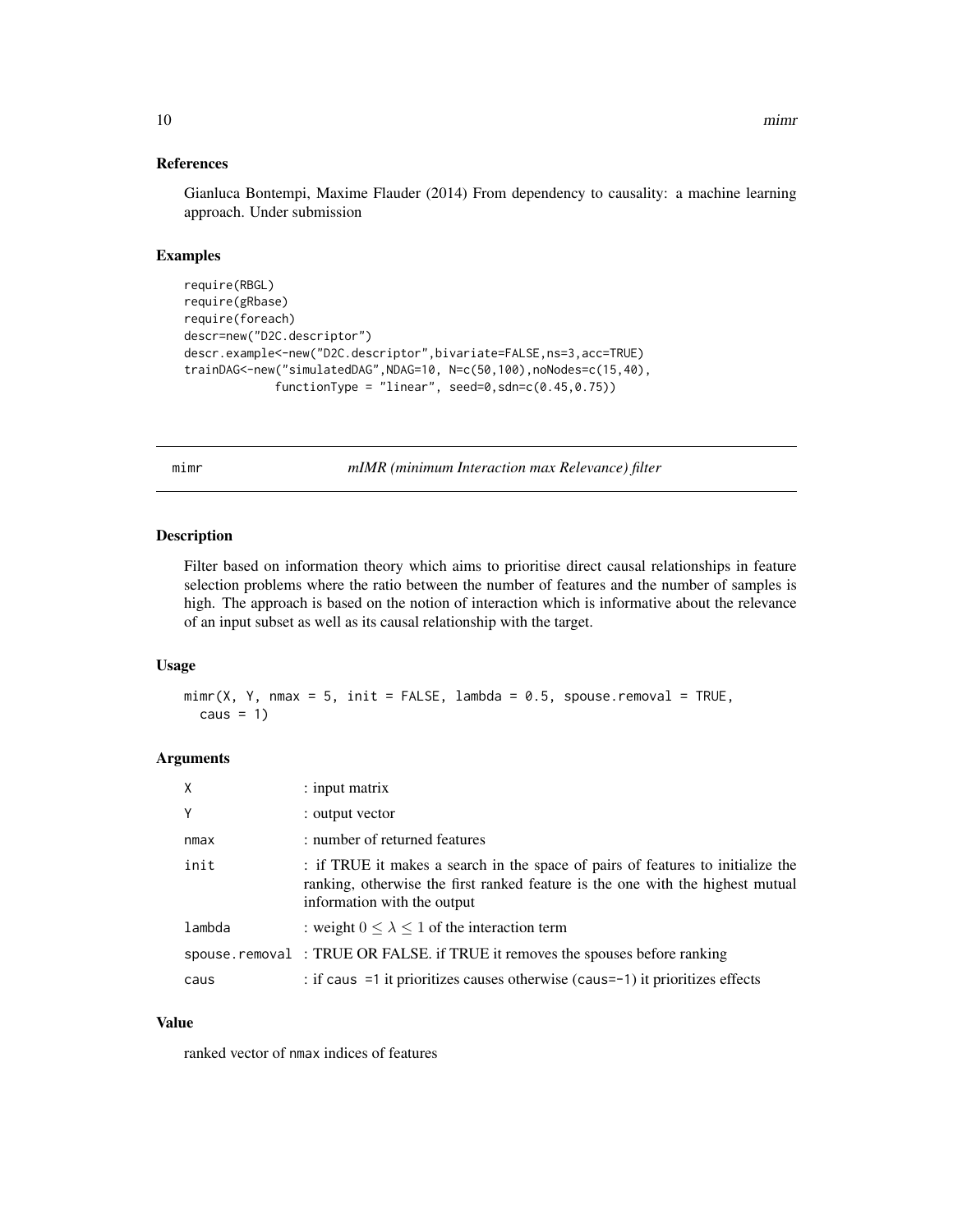<span id="page-9-0"></span>Gianluca Bontempi, Maxime Flauder (2014) From dependency to causality: a machine learning approach. Under submission

# Examples

```
require(RBGL)
require(gRbase)
require(foreach)
descr=new("D2C.descriptor")
descr.example<-new("D2C.descriptor",bivariate=FALSE,ns=3,acc=TRUE)
trainDAG<-new("simulatedDAG",NDAG=10, N=c(50,100),noNodes=c(15,40),
             functionType = "linear", seed=0, sdn=c(0.45, 0.75))
```
<span id="page-9-1"></span>mimr *mIMR (minimum Interaction max Relevance) filter*

# Description

Filter based on information theory which aims to prioritise direct causal relationships in feature selection problems where the ratio between the number of features and the number of samples is high. The approach is based on the notion of interaction which is informative about the relevance of an input subset as well as its causal relationship with the target.

# Usage

```
minr(X, Y, nmax = 5, init = FALSE, lambda = 0.5, spouse. removal = TRUE,caus = 1)
```
# Arguments

| X      | $:$ input matrix                                                                                                                                                                                 |
|--------|--------------------------------------------------------------------------------------------------------------------------------------------------------------------------------------------------|
| Y      | : output vector                                                                                                                                                                                  |
| nmax   | : number of returned features                                                                                                                                                                    |
| init   | : if TRUE it makes a search in the space of pairs of features to initialize the<br>ranking, otherwise the first ranked feature is the one with the highest mutual<br>information with the output |
| lambda | : weight $0 \leq \lambda \leq 1$ of the interaction term                                                                                                                                         |
|        | spouse.removal: TRUE OR FALSE. if TRUE it removes the spouses before ranking                                                                                                                     |
| caus   | : if caus =1 it prioritizes causes otherwise (caus=-1) it prioritizes effects                                                                                                                    |

## Value

ranked vector of nmax indices of features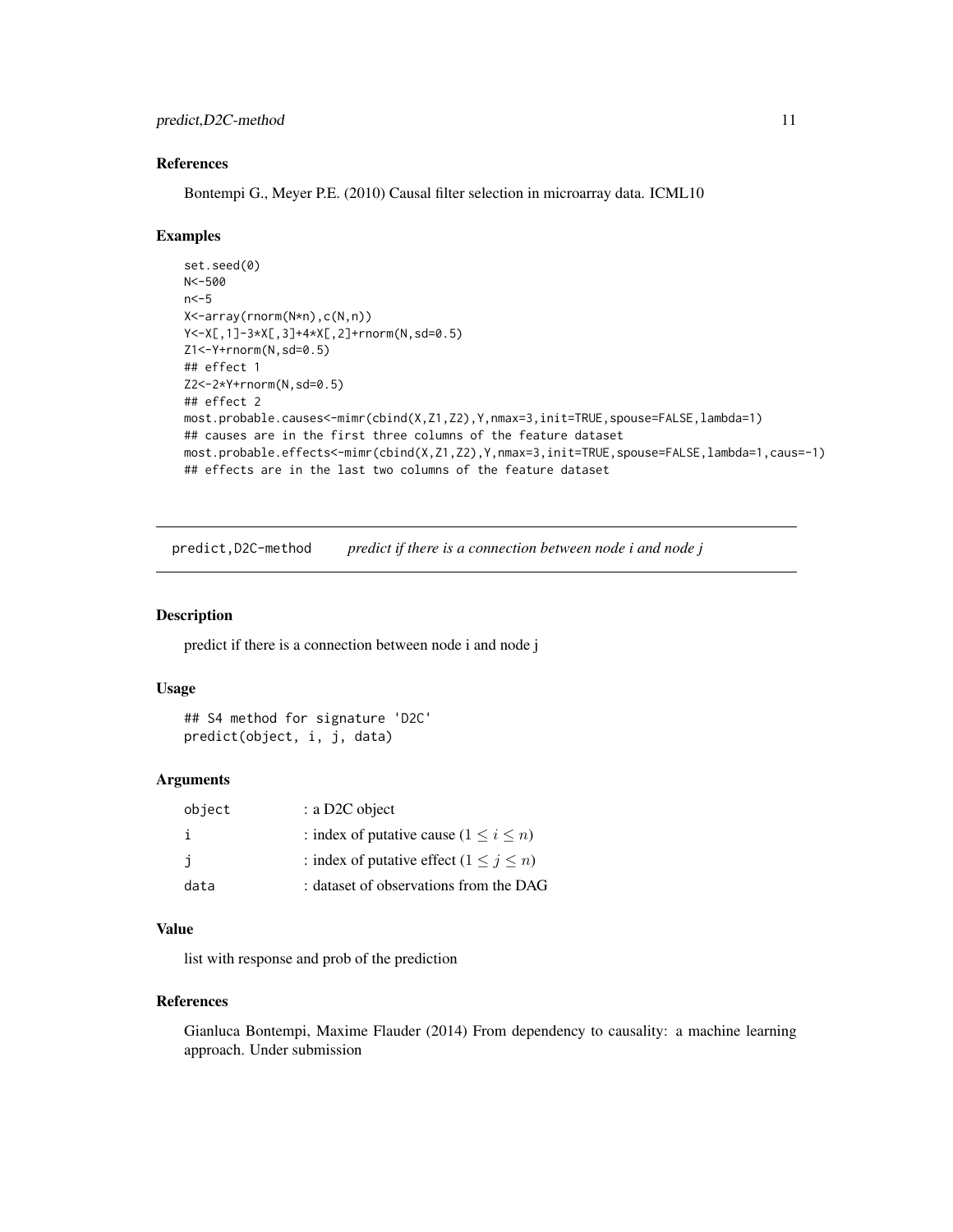<span id="page-10-0"></span>Bontempi G., Meyer P.E. (2010) Causal filter selection in microarray data. ICML10

#### Examples

```
set.seed(0)
N<-500
n<-5
X<-array(rnorm(N*n),c(N,n))
Y<-X[,1]-3*X[,3]+4*X[,2]+rnorm(N,sd=0.5)
Z1<-Y+rnorm(N,sd=0.5)
## effect 1
Z2<-2*Y+rnorm(N,sd=0.5)
## effect 2
most.probable.causes<-mimr(cbind(X,Z1,Z2),Y,nmax=3,init=TRUE,spouse=FALSE,lambda=1)
## causes are in the first three columns of the feature dataset
most.probable.effects<-mimr(cbind(X,Z1,Z2),Y,nmax=3,init=TRUE,spouse=FALSE,lambda=1,caus=-1)
## effects are in the last two columns of the feature dataset
```
predict,D2C-method *predict if there is a connection between node i and node j*

# Description

predict if there is a connection between node i and node j

# Usage

```
## S4 method for signature 'D2C'
predict(object, i, j, data)
```
# Arguments

| object | : a D2C object                               |
|--------|----------------------------------------------|
|        | : index of putative cause $(1 \le i \le n)$  |
| ÷i     | : index of putative effect $(1 \le j \le n)$ |
| data   | : dataset of observations from the DAG       |

# Value

list with response and prob of the prediction

# References

Gianluca Bontempi, Maxime Flauder (2014) From dependency to causality: a machine learning approach. Under submission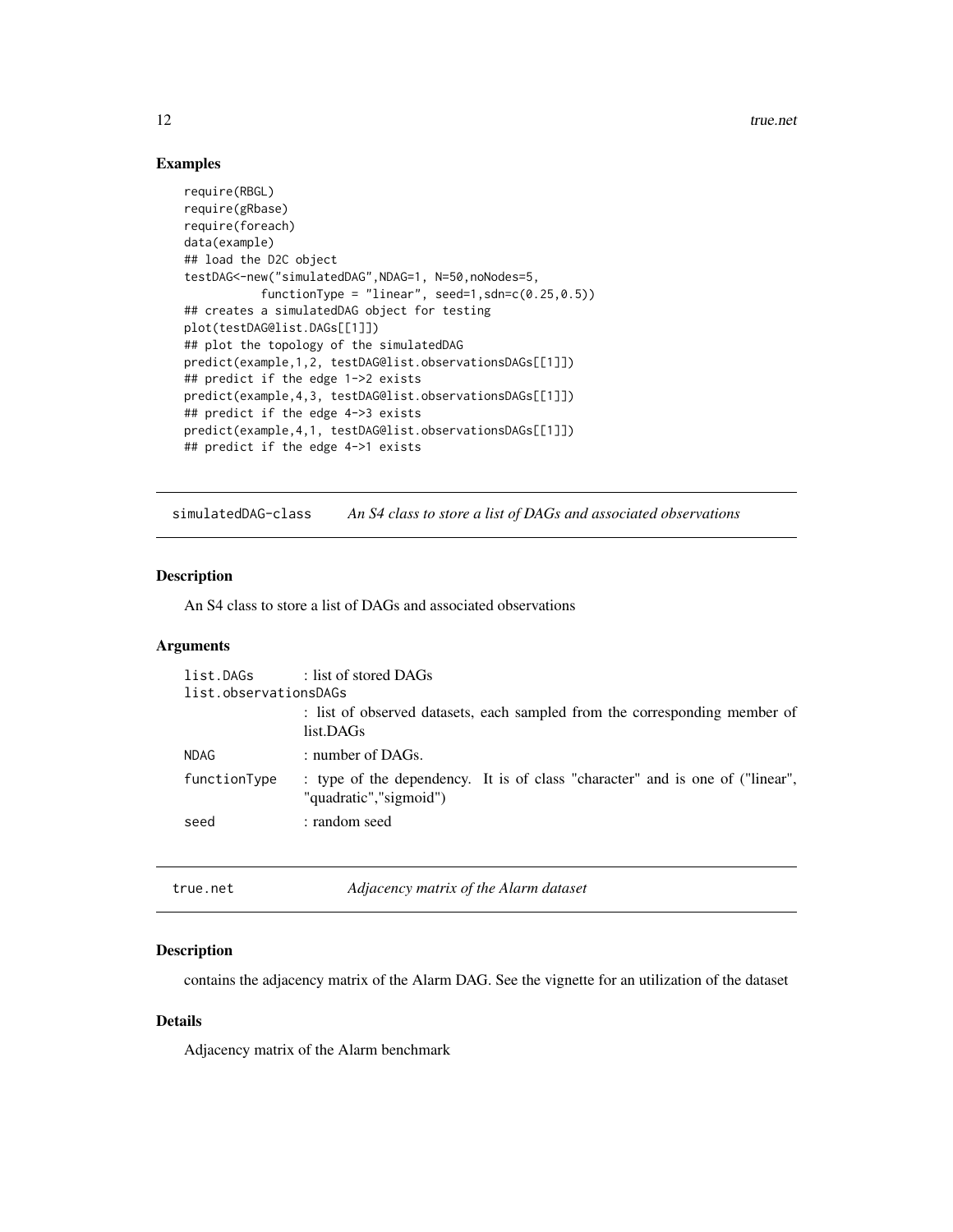<span id="page-11-0"></span>12 true.net

# Examples

```
require(RBGL)
require(gRbase)
require(foreach)
data(example)
## load the D2C object
testDAG<-new("simulatedDAG",NDAG=1, N=50,noNodes=5,
           functionType = "linear", seed=1,sdn=c(0.25, 0.5))
## creates a simulatedDAG object for testing
plot(testDAG@list.DAGs[[1]])
## plot the topology of the simulatedDAG
predict(example,1,2, testDAG@list.observationsDAGs[[1]])
## predict if the edge 1->2 exists
predict(example,4,3, testDAG@list.observationsDAGs[[1]])
## predict if the edge 4->3 exists
predict(example,4,1, testDAG@list.observationsDAGs[[1]])
## predict if the edge 4->1 exists
```
simulatedDAG-class *An S4 class to store a list of DAGs and associated observations*

# Description

An S4 class to store a list of DAGs and associated observations

# Arguments

| list.DAGs             | : list of stored DAGs                                                                                   |
|-----------------------|---------------------------------------------------------------------------------------------------------|
| list.observationsDAGs |                                                                                                         |
|                       | : list of observed datasets, each sampled from the corresponding member of<br>list.DAGs                 |
| <b>NDAG</b>           | : number of DAGs.                                                                                       |
| functionType          | : type of the dependency. It is of class "character" and is one of ("linear",<br>"quadratic","sigmoid") |
| seed                  | : random seed                                                                                           |
|                       |                                                                                                         |

true.net *Adjacency matrix of the Alarm dataset*

# Description

contains the adjacency matrix of the Alarm DAG. See the vignette for an utilization of the dataset

# Details

Adjacency matrix of the Alarm benchmark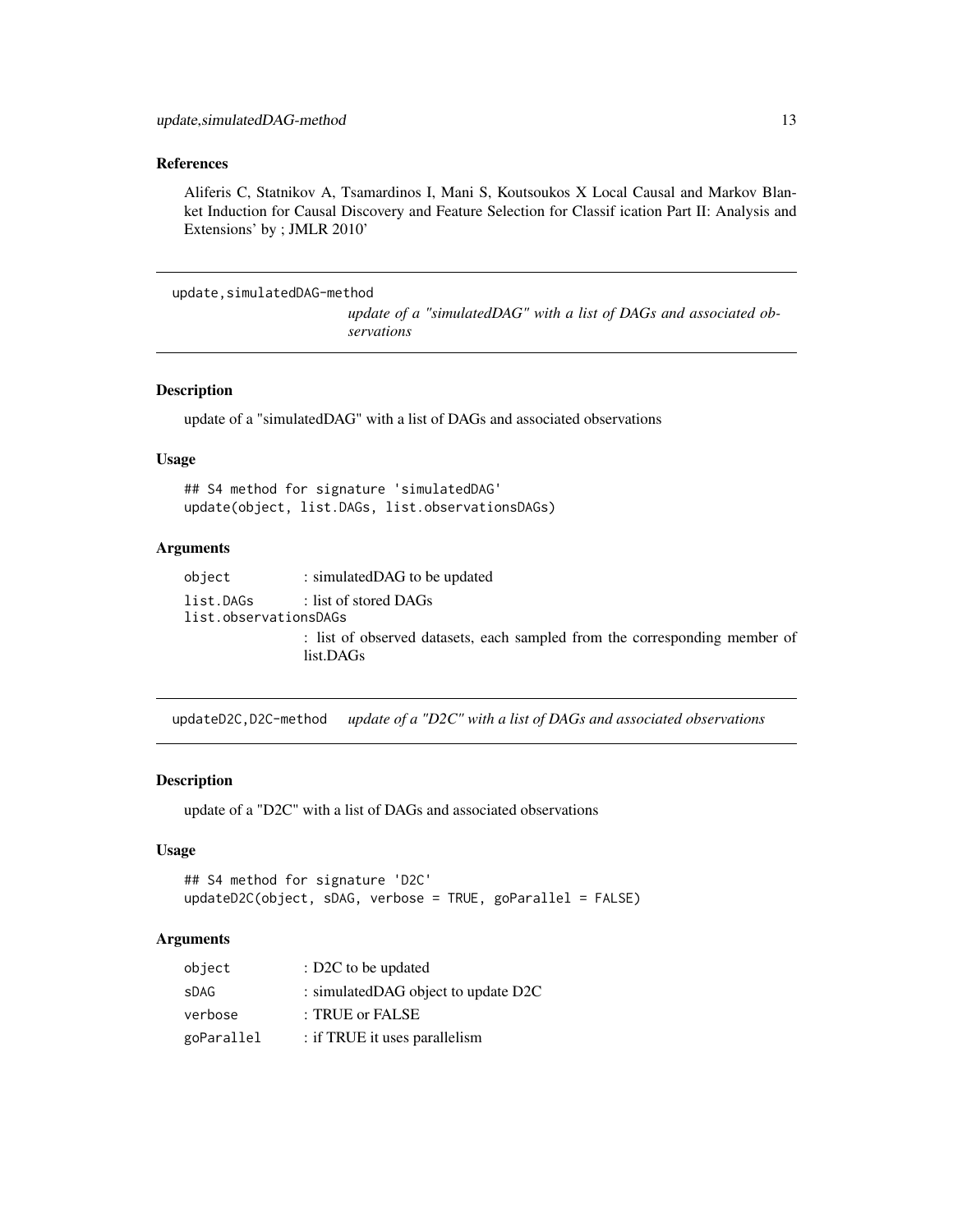<span id="page-12-0"></span>Aliferis C, Statnikov A, Tsamardinos I, Mani S, Koutsoukos X Local Causal and Markov Blanket Induction for Causal Discovery and Feature Selection for Classif ication Part II: Analysis and Extensions' by ; JMLR 2010'

```
update,simulatedDAG-method
```
*update of a "simulatedDAG" with a list of DAGs and associated observations*

# Description

update of a "simulatedDAG" with a list of DAGs and associated observations

# Usage

```
## S4 method for signature 'simulatedDAG'
update(object, list.DAGs, list.observationsDAGs)
```
# Arguments

object : simulatedDAG to be updated list.DAGs : list of stored DAGs list.observationsDAGs : list of observed datasets, each sampled from the corresponding member of list.DAGs

updateD2C,D2C-method *update of a "D2C" with a list of DAGs and associated observations*

# Description

update of a "D2C" with a list of DAGs and associated observations

## Usage

```
## S4 method for signature 'D2C'
updateD2C(object, sDAG, verbose = TRUE, goParallel = FALSE)
```
# Arguments

| object     | : D2C to be updated                 |
|------------|-------------------------------------|
| sDAG       | : simulatedDAG object to update D2C |
| verbose    | : TRUE or FALSE                     |
| goParallel | : if TRUE it uses parallelism       |